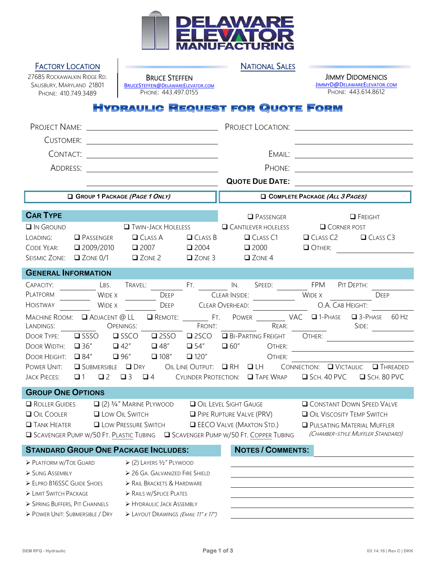

| <b>FACTORY LOCATION</b> |  |
|-------------------------|--|
|-------------------------|--|

27685 ROCKAWALKIN RIDGE RD. SALISBURY, MARYLAND 21801 PHONE: 410.749.3489

**NATIONAL SALES** 

JIMMY DIDOMENICIS JIMMYD@DELAWAREELEVATOR.COM PHONE: 443.614.8612

### **HYDRAULIC REQUEST FOR QUOTE FORM**

BRUCE STEFFEN BRUCESTEFFEN@DELAWAREELEVATOR.COM PHONE: 443.497.0155

| Customer:                                                       |                               |                                                                  |                                                                                  |                                                                                                                                                      |
|-----------------------------------------------------------------|-------------------------------|------------------------------------------------------------------|----------------------------------------------------------------------------------|------------------------------------------------------------------------------------------------------------------------------------------------------|
| CONTACT:                                                        |                               |                                                                  |                                                                                  |                                                                                                                                                      |
| Address:                                                        |                               |                                                                  | PHONE:                                                                           |                                                                                                                                                      |
|                                                                 |                               |                                                                  | <b>QUOTE DUE DATE:</b>                                                           | <u> 1980 - Jan Stein, amerikansk politik (</u>                                                                                                       |
|                                                                 |                               | GROUP 1 PACKAGE (PAGE 1 ONLY)                                    |                                                                                  | <b>Q COMPLETE PACKAGE (ALL 3 PAGES)</b>                                                                                                              |
|                                                                 |                               |                                                                  |                                                                                  |                                                                                                                                                      |
| <b>CAR TYPE</b>                                                 |                               |                                                                  | $\Box$ Passenger                                                                 | <b>O</b> FREIGHT                                                                                                                                     |
| $\Box$ In Ground<br>LOADING:                                    | <b>Q</b> PASSENGER            | $\Box$ CLASS A $\Box$ CLASS B                                    | $\Box$ Twin-Jack Holeless $\Box$ Cantilever Holeless $\Box$ Corner post          | $\Box$ CLASS C1 $\Box$ CLASS C2 $\Box$ CLASS C3                                                                                                      |
| CODE YEAR: ■ 2009/2010                                          |                               |                                                                  | $\Box$ 2007 $\Box$ 2004 $\Box$ 2000                                              | $\Box$ Other:                                                                                                                                        |
|                                                                 | SEISMIC ZONE: $\Box$ ZONE 0/1 |                                                                  | $\Box$ ZONE 2 $\Box$ ZONE 3 $\Box$ ZONE 4                                        |                                                                                                                                                      |
| <b>GENERAL INFORMATION</b>                                      |                               |                                                                  |                                                                                  |                                                                                                                                                      |
| CAPACITY:                                                       | Lbs.                          | TRAVEL: FT.                                                      | IN.<br>SPEED:                                                                    | <b>FPM</b><br>PIT DEPTH:                                                                                                                             |
| PLATFORM                                                        | WIDE X                        | DEEP                                                             | CLEAR INSIDE: WIDE X                                                             | <b>DEEP</b>                                                                                                                                          |
|                                                                 | HOISTWAY WIDE X               |                                                                  | DEEP CLEAR OVERHEAD: CLA CAB HEIGHT:                                             |                                                                                                                                                      |
|                                                                 |                               |                                                                  |                                                                                  | MACHINE ROOM: <a> O<br/> ADJACENT @ LL <a> C<br/> O<br/> REMOTE: <a> FT. POWER <a> P<a> C<br/> O</a> 1-PHASE <a> C</a> 3-PHASE 60 Hz</a></a></a></a> |
| LANDINGS:                                                       |                               | Openings: FRONT:                                                 |                                                                                  |                                                                                                                                                      |
|                                                                 |                               |                                                                  |                                                                                  | DOOR TYPE: SSSO QSSCO Q2SSO Q2SCO QBI-PARTING FREIGHT OTHER:                                                                                         |
|                                                                 |                               |                                                                  |                                                                                  |                                                                                                                                                      |
| <b>DOOR HEIGHT:</b><br>POWER UNIT:                              | $\Box$ 84" $\Box$ 96"         | $\Box$ 108"                                                      | $\Box$ 120" OTHER:                                                               | □ SUBMERSIBLE □ DRY OIL LINE OUTPUT: □ RH □ LH CONNECTION: □ VICTAULIC □ THREADED                                                                    |
| <b>JACK PIECES:</b>                                             |                               |                                                                  |                                                                                  | Q1 Q2 Q3 Q4 CYLINDER PROTECTION: Q TAPE WRAP Q SCH. 40 PVC Q SCH. 80 PVC                                                                             |
| <b>GROUP ONE OPTIONS</b>                                        |                               |                                                                  |                                                                                  |                                                                                                                                                      |
|                                                                 |                               |                                                                  | $\Box$ Roller Guides $\Box$ (2) 3/4" Marine Plywood $\Box$ Oil Level Sight Gauge | <b>Q</b> CONSTANT DOWN SPEED VALVE                                                                                                                   |
|                                                                 |                               |                                                                  | □ OIL COOLER □ LOW OIL SWITCH □ PIPE RUPTURE VALVE (PRV)                         | OIL VISCOSITY TEMP SWITCH                                                                                                                            |
| <b>TANK HEATER</b>                                              |                               |                                                                  | $\Box$ Low Pressure Switch $\Box$ EECO Valve (Maxton Std.)                       | <b>Q PULSATING MATERIAL MUFFLER</b>                                                                                                                  |
|                                                                 |                               |                                                                  | □ SCAVENGER PUMP W/50 FT. PLASTIC TUBING □ SCAVENGER PUMP W/50 FT. COPPER TUBING | (CHAMBER-STYLE MUFFLER STANDARD)                                                                                                                     |
|                                                                 |                               | <b>STANDARD GROUP ONE PACKAGE INCLUDES:</b>                      | <b>NOTES / COMMENTS:</b>                                                         |                                                                                                                                                      |
| > PLATFORM W/TOE GUARD                                          |                               | $\ge$ (2) LAYERS $\frac{1}{2}$ " PLYWOOD                         |                                                                                  |                                                                                                                                                      |
| > SLING ASSEMBLY                                                |                               | > 26 GA. GALVANIZED FIRE SHIELD                                  |                                                                                  |                                                                                                                                                      |
| ELPRO 816SSC GUIDE SHOES                                        |                               | > RAIL BRACKETS & HARDWARE                                       |                                                                                  |                                                                                                                                                      |
| > LIMIT SWITCH PACKAGE                                          |                               | > RAILS W/SPLICE PLATES                                          |                                                                                  |                                                                                                                                                      |
| > SPRING BUFFERS, PIT CHANNELS<br>POWER UNIT: SUBMERSIBLE / DRY |                               | > HYDRAULIC JACK ASSEMBLY<br>> LAYOUT DRAWINGS (EMAIL 11" x 17") |                                                                                  |                                                                                                                                                      |
|                                                                 |                               |                                                                  |                                                                                  |                                                                                                                                                      |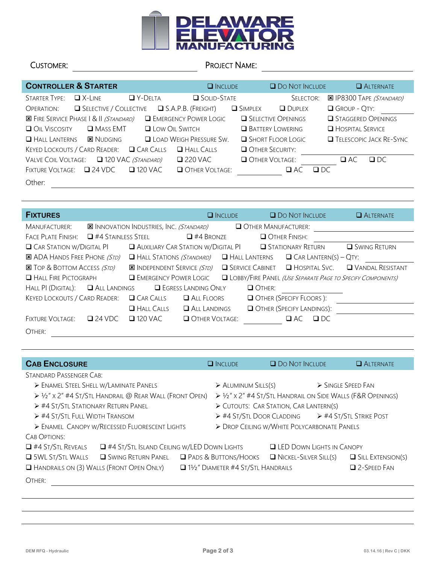

## CUSTOMER: PROJECT NAME:

| <b>CONTROLLER &amp; STARTER</b> |                                                         |                         | $\Box$ INCLUDE                   |                | <b>Q</b> DO NOT INCLUDE     | <b>ALTERNATE</b>           |
|---------------------------------|---------------------------------------------------------|-------------------------|----------------------------------|----------------|-----------------------------|----------------------------|
| <b>STARTER TYPE:</b>            | $\Box$ X-LINE                                           | $\Box$ Y-DELTA          | <b>SOLID-STATE</b>               |                | SELECTOR:                   | $E$ IP8300 TAPE (STANDARD) |
| OPERATION:                      | $\Box$ Selective / Collective $\Box$ S.A.P.B. (FREIGHT) |                         |                                  | <b>SIMPLEX</b> | <b>D</b> DUPLEX             | GROUP - QTY:               |
|                                 | <b>E</b> FIRE SERVICE PHASE   & II <i>(STANDARD)</i>    |                         | EMERGENCY POWER LOGIC            |                | <b>SELECTIVE OPENINGS</b>   | <b>STAGGERED OPENINGS</b>  |
| OIL VISCOSITY                   | $\square$ Mass EMT                                      | <b>Q LOW OIL SWITCH</b> |                                  |                | <b>BATTERY LOWERING</b>     | <b>HOSPITAL SERVICE</b>    |
| <b>HALL LANTERNS</b>            | <b>E</b> NUDGING                                        |                         | <b>Q LOAD WEIGH PRESSURE SW.</b> |                | <b>EL SHORT FLOOR LOGIC</b> | TELESCOPIC JACK RE-SYNC    |
|                                 | KEYED LOCKOUTS / CARD READER: Q CAR CALLS               |                         | $\Box$ Hall Calls                |                | OTHER SECURITY:             |                            |
|                                 | VALVE COIL VOLTAGE: 120 VAC (STANDARD)                  |                         | $\Box$ 220 VAC                   |                | OTHER VOLTAGE:              | $\Box$ AC<br>$\Box$ DC     |
| FIXTURE VOLTAGE:                | $\n  24 VDC\n$                                          | $\Box$ 120 VAC          | OTHER VOLTAGE:                   |                | $\Box$ DC<br>$\Box$ AC      |                            |
| Other:                          |                                                         |                         |                                  |                |                             |                            |

| <b>FIXTURES</b>                      |                           |                                                 |                              | $\Box$ INCLUDE |                                             | <b>Q</b> DO NOT INCLUDE  |                              | <b>ALTERNATE</b>                                                    |
|--------------------------------------|---------------------------|-------------------------------------------------|------------------------------|----------------|---------------------------------------------|--------------------------|------------------------------|---------------------------------------------------------------------|
| MANUFACTURER:                        |                           | <b>X</b> INNOVATION INDUSTRIES, INC. (STANDARD) |                              |                | OTHER MANUFACTURER:                         |                          |                              |                                                                     |
| <b>FACE PLATE FINISH:</b>            | $\Box$ #4 Stainless Steel |                                                 | $\Box$ #4 BRONZE             |                |                                             | OTHER FINISH:            |                              |                                                                     |
| <b>Q</b> CAR STATION W/DIGITAL PI    |                           | $\Box$ Auxiliary Car Station w/Digital PI       |                              |                |                                             | <b>STATIONARY RETURN</b> |                              | <b>Q</b> SWING RETURN                                               |
| <b>EX</b> ADA HANDS FREE PHONE (STD) |                           | $\Box$ Hall Stations (STANDARD)                 |                              |                | <b>HALL LANTERNS</b>                        |                          | $\Box$ Car Lantern(s) – Qty: |                                                                     |
| <b>EX</b> TOP & BOTTOM ACCESS (STD)  |                           | $\boxtimes$ Independent Service (STD)           |                              |                | $\Box$ SERVICE CABINET $\Box$ HOSPITAL SVC. |                          |                              | VANDAL RESISTANT                                                    |
| HALL FIRE PICTOGRAPH                 |                           | <b>EMERGENCY POWER LOGIC</b>                    |                              |                |                                             |                          |                              | <b>Q LOBBY/FIRE PANEL (USE SEPARATE PAGE TO SPECIFY COMPONENTS)</b> |
| Hall PI (Digital):                   | ALL LANDINGS              |                                                 | <b>E</b> EGRESS LANDING ONLY |                | OTHER:                                      |                          |                              |                                                                     |
| <b>KEYED LOCKOUTS / CARD READER:</b> |                           | $\Box$ CAR CALLS                                | <b>Q</b> ALL FLOORS          |                | OTHER (SPECIFY FLOORS):                     |                          |                              |                                                                     |
|                                      |                           | $H$ ALL CALLS                                   | $\Box$ ALL LANDINGS          |                | OTHER (SPECIFY LANDINGS):                   |                          |                              |                                                                     |
| <b>FIXTURE VOLTAGE:</b>              | $\square$ 24 VDC          | $\Box$ 120 VAC                                  | OTHER VOLTAGE:               |                |                                             | $\Box$ AC                | $\Box$ DC                    |                                                                     |
| OTHER:                               |                           |                                                 |                              |                |                                             |                          |                              |                                                                     |

| <b>CAB ENCLOSURE</b>                                                   |                                                   |  | $\Box$ INCLUDE                                    | $\Box$ DO NOT INCLUDE              |                                   | $\Box$ ALTERNATE                                                           |  |
|------------------------------------------------------------------------|---------------------------------------------------|--|---------------------------------------------------|------------------------------------|-----------------------------------|----------------------------------------------------------------------------|--|
| STANDARD PASSENGER CAB:                                                |                                                   |  |                                                   |                                    |                                   |                                                                            |  |
| > ENAMEL STEEL SHELL W/LAMINATE PANELS                                 |                                                   |  | $\triangleright$ ALUMINUM SILLS(S)                |                                    | $\triangleright$ SINGLE SPEED FAN |                                                                            |  |
| $\triangleright$ 1/2" x 2" #4 St/Stl Handrail @ Rear Wall (Front Open) |                                                   |  |                                                   |                                    |                                   | $\triangleright$ 1/2" x 2" #4 St/Stl Handrail on Side Walls (F&R OPENINGS) |  |
| $\triangleright$ #4 St/Stl Stationary Return Panel                     |                                                   |  | CUTOUTS: CAR STATION, CAR LANTERN(S)              |                                    |                                   |                                                                            |  |
| $\triangleright$ #4 St/Stl Full Width Transom                          |                                                   |  | > #4 ST/STL DOOR CLADDING > #4 ST/STL STRIKE POST |                                    |                                   |                                                                            |  |
| > ENAMEL CANOPY W/RECESSED FLUORESCENT LIGHTS                          |                                                   |  | > DROP CEILING W/WHITE POLYCARBONATE PANELS       |                                    |                                   |                                                                            |  |
| CAB OPTIONS:                                                           |                                                   |  |                                                   |                                    |                                   |                                                                            |  |
| $\Box$ #4 St/Stl Reveals                                               | $\Box$ #4 ST/STL ISLAND CEILING W/LED DOWN LIGHTS |  |                                                   | <b>Q LED DOWN LIGHTS IN CANOPY</b> |                                   |                                                                            |  |
| <b>SWL ST/STL WALLS</b>                                                | SWING RETURN PANEL                                |  | <b>Q</b> PADS & BUTTONS/HOOKS                     | $\Box$ NICKEL-SILVER SILL(S)       |                                   | $\Box$ SILL EXTENSION(S)                                                   |  |
| $\Box$ Handrails on (3) Walls (Front Open Only)                        |                                                   |  | <sup>11/2</sup> DIAMETER #4 ST/STL HANDRAILS      |                                    |                                   | $\Box$ 2-Speed Fan                                                         |  |
| Other:                                                                 |                                                   |  |                                                   |                                    |                                   |                                                                            |  |
|                                                                        |                                                   |  |                                                   |                                    |                                   |                                                                            |  |
|                                                                        |                                                   |  |                                                   |                                    |                                   |                                                                            |  |